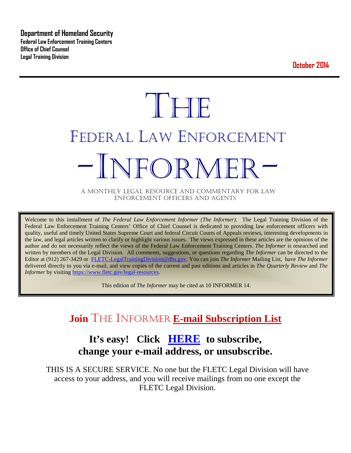**Department of Homeland Security Federal Law Enforcement Training Centers Office of Chief Counsel Legal Training Division** 

**October 2014**

# **THE** FEDERAL LAW ENFORCEMENT NFOR MFI

A MONTHLY LEGAL RESOURCE AND COMMENTARY FOR LAW ENFORCEMENT OFFICERS AND AGENTS

Welcome to this installment of *The Federal Law Enforcement Informer (The Informer).* The Legal Training Division of the Federal Law Enforcement Training Centers' Office of Chief Counsel is dedicated to providing law enforcement officers with quality, useful and timely United States Supreme Court and federal Circuit Courts of Appeals reviews, interesting developments in the law, and legal articles written to clarify or highlight various issues. The views expressed in these articles are the opinions of the author and do not necessarily reflect the views of the Federal Law Enforcement Training Centers. *The Informer* is researched and written by members of the Legal Division. All comments, suggestions, or questions regarding *The Informer* can be directed to the Editor at (912) 267-3429 or [FLETC-LegalTrainingDivision@dhs.gov.](mailto:FLETC-LegalTrainingDivision@dhs.gov) You can join *The Informer* Mailing List, have *The Informer* delivered directly to you via e-mail, and view copies of the current and past editions and articles in *The Quarterly Review* and *The Informer* by visiting [https://www.fletc.gov/legal-resources.](https://www.fletc.gov/legal-resources)

This edition of *The Informer* may be cited as 10 INFORMER 14.

# **Join** THE INFORMER **E-mail Subscription List**

# **It's easy! Click [HERE](http://peach.ease.lsoft.com/scripts/wa.exe?SUBED1=fletclgd&A=1) to subscribe, change your e-mail address, or unsubscribe.**

THIS IS A SECURE SERVICE. No one but the FLETC Legal Division will have access to your address, and you will receive mailings from no one except the FLETC Legal Division.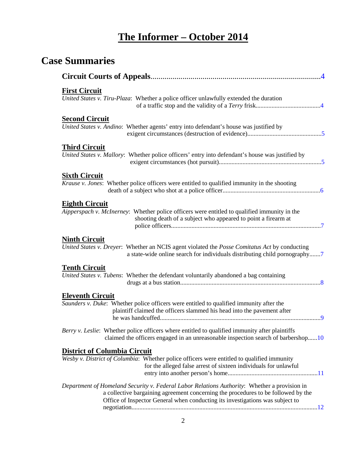# **The Informer – October 2014**

# **Case Summaries**

| <b>First Circuit</b><br>United States v. Tiru-Plaza: Whether a police officer unlawfully extended the duration                                                                                                                                                     |
|--------------------------------------------------------------------------------------------------------------------------------------------------------------------------------------------------------------------------------------------------------------------|
| <b>Second Circuit</b><br>United States v. Andino: Whether agents' entry into defendant's house was justified by                                                                                                                                                    |
| <b>Third Circuit</b><br>United States v. Mallory: Whether police officers' entry into defendant's house was justified by                                                                                                                                           |
| <b>Sixth Circuit</b><br>Krause v. Jones: Whether police officers were entitled to qualified immunity in the shooting                                                                                                                                               |
| <b>Eighth Circuit</b><br>Aipperspach v. McInerney: Whether police officers were entitled to qualified immunity in the<br>shooting death of a subject who appeared to point a firearm at                                                                            |
| <b>Ninth Circuit</b><br>United States v. Dreyer: Whether an NCIS agent violated the Posse Comitatus Act by conducting<br>a state-wide online search for individuals distributing child pornography7                                                                |
| <b>Tenth Circuit</b><br>United States v. Tubens: Whether the defendant voluntarily abandoned a bag containing                                                                                                                                                      |
| <b>Eleventh Circuit</b><br>Saunders v. Duke: Whether police officers were entitled to qualified immunity after the<br>plaintiff claimed the officers slammed his head into the pavement after                                                                      |
| Berry v. Leslie: Whether police officers where entitled to qualified immunity after plaintiffs<br>claimed the officers engaged in an unreasonable inspection search of barbershop10                                                                                |
| <b>District of Columbia Circuit</b><br>Wesby v. District of Columbia: Whether police officers were entitled to qualified immunity<br>for the alleged false arrest of sixteen individuals for unlawful                                                              |
| Department of Homeland Security v. Federal Labor Relations Authority: Whether a provision in<br>a collective bargaining agreement concerning the procedures to be followed by the<br>Office of Inspector General when conducting its investigations was subject to |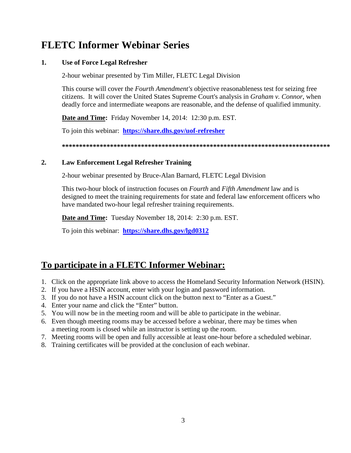# **FLETC Informer Webinar Series**

#### **1. Use of Force Legal Refresher**

2-hour webinar presented by Tim Miller, FLETC Legal Division

This course will cover the *Fourth Amendment's* objective reasonableness test for seizing free citizens. It will cover the United States Supreme Court's analysis in *Graham v. Connor*, when deadly force and intermediate weapons are reasonable, and the defense of qualified immunity.

**Date and Time:** Friday November 14, 2014: 12:30 p.m. EST.

To join this webinar: **<https://share.dhs.gov/uof-refresher>**

**\*\*\*\*\*\*\*\*\*\*\*\*\*\*\*\*\*\*\*\*\*\*\*\*\*\*\*\*\*\*\*\*\*\*\*\*\*\*\*\*\*\*\*\*\*\*\*\*\*\*\*\*\*\*\*\*\*\*\*\*\*\*\*\*\*\*\*\*\*\*\*\*\*\*\*\*\*\***

#### **2. Law Enforcement Legal Refresher Training**

2-hour webinar presented by Bruce-Alan Barnard, FLETC Legal Division

This two-hour block of instruction focuses on *Fourth* and *Fifth Amendment* law and is designed to meet the training requirements for state and federal law enforcement officers who have mandated two-hour legal refresher training requirements.

**Date and Time:** Tuesday November 18, 2014: 2:30 p.m. EST.

To join this webinar: **<https://share.dhs.gov/lgd0312>**

# **To participate in a FLETC Informer Webinar:**

- 1. Click on the appropriate link above to access the Homeland Security Information Network (HSIN).
- 2. If you have a HSIN account, enter with your login and password information.
- 3. If you do not have a HSIN account click on the button next to "Enter as a Guest."
- 4. Enter your name and click the "Enter" button.
- 5. You will now be in the meeting room and will be able to participate in the webinar.
- 6. Even though meeting rooms may be accessed before a webinar, there may be times when a meeting room is closed while an instructor is setting up the room.
- 7. Meeting rooms will be open and fully accessible at least one-hour before a scheduled webinar.
- 8. Training certificates will be provided at the conclusion of each webinar.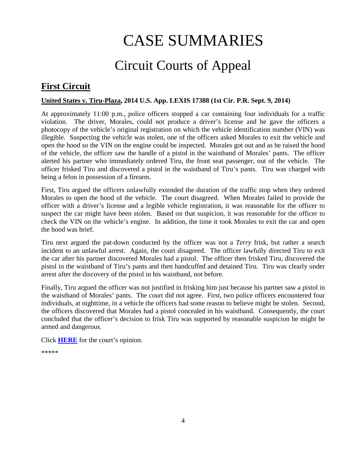# CASE SUMMARIES

# Circuit Courts of Appeal

# <span id="page-3-1"></span><span id="page-3-0"></span>**First Circuit**

#### <span id="page-3-2"></span>**United States v. Tiru-Plaza, 2014 U.S. App. LEXIS 17388 (1st Cir. P.R. Sept. 9, 2014)**

At approximately 11:00 p.m., police officers stopped a car containing four individuals for a traffic violation. The driver, Morales, could not produce a driver's license and he gave the officers a photocopy of the vehicle's original registration on which the vehicle identification number (VIN) was illegible. Suspecting the vehicle was stolen, one of the officers asked Morales to exit the vehicle and open the hood so the VIN on the engine could be inspected. Morales got out and as he raised the hood of the vehicle, the officer saw the handle of a pistol in the waistband of Morales' pants. The officer alerted his partner who immediately ordered Tiru, the front seat passenger, out of the vehicle. The officer frisked Tiru and discovered a pistol in the waistband of Tiru's pants. Tiru was charged with being a felon in possession of a firearm.

First, Tiru argued the officers unlawfully extended the duration of the traffic stop when they ordered Morales to open the hood of the vehicle. The court disagreed. When Morales failed to provide the officer with a driver's license and a legible vehicle registration, it was reasonable for the officer to suspect the car might have been stolen. Based on that suspicion, it was reasonable for the officer to check the VIN on the vehicle's engine. In addition, the time it took Morales to exit the car and open the hood was brief.

Tiru next argued the pat-down conducted by the officer was not a *Terry* frisk, but rather a search incident to an unlawful arrest. Again, the court disagreed. The officer lawfully directed Tiru to exit the car after his partner discovered Morales had a pistol. The officer then frisked Tiru, discovered the pistol in the waistband of Tiru's pants and then handcuffed and detained Tiru. Tiru was clearly under arrest after the discovery of the pistol in his waistband, not before.

Finally, Tiru argued the officer was not justified in frisking him just because his partner saw a pistol in the waistband of Morales' pants. The court did not agree. First, two police officers encountered four individuals, at nighttime, in a vehicle the officers had some reason to believe might be stolen. Second, the officers discovered that Morales had a pistol concealed in his waistband. Consequently, the court concluded that the officer's decision to frisk Tiru was supported by reasonable suspicion he might be armed and dangerous.

Click **[HERE](http://cases.justia.com/federal/appellate-courts/ca1/13-1888/13-1888-2014-09-09.pdf?ts=1410915284)** for the court's opinion.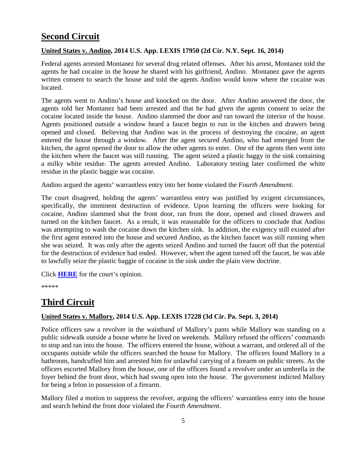# **Second Circuit**

#### <span id="page-4-0"></span>**United States v. Andino, 2014 U.S. App. LEXIS 17950 (2d Cir. N.Y. Sept. 16, 2014)**

Federal agents arrested Montanez for several drug related offenses. After his arrest, Montanez told the agents he had cocaine in the house he shared with his girlfriend, Andino. Montanez gave the agents written consent to search the house and told the agents Andino would know where the cocaine was located.

The agents went to Andino's house and knocked on the door. After Andino answered the door, the agents told her Montanez had been arrested and that he had given the agents consent to seize the cocaine located inside the house. Andino slammed the door and ran toward the interior of the house. Agents positioned outside a window heard a faucet begin to run in the kitchen and drawers being opened and closed. Believing that Andino was in the process of destroying the cocaine, an agent entered the house through a window. After the agent secured Andino, who had emerged from the kitchen, the agent opened the door to allow the other agents to enter. One of the agents then went into the kitchen where the faucet was still running. The agent seized a plastic baggy in the sink containing a milky white residue. The agents arrested Andino. Laboratory testing later confirmed the white residue in the plastic baggie was cocaine.

Andino argued the agents' warrantless entry into her home violated the *Fourth Amendment*.

The court disagreed, holding the agents' warrantless entry was justified by exigent circumstances, specifically, the imminent destruction of evidence. Upon learning the officers were looking for cocaine, Andino slammed shut the front door, ran from the door, opened and closed drawers and turned on the kitchen faucet. As a result, it was reasonable for the officers to conclude that Andino was attempting to wash the cocaine down the kitchen sink. In addition, the exigency still existed after the first agent entered into the house and secured Andino, as the kitchen faucet was still running when she was seized. It was only after the agents seized Andino and turned the faucet off that the potential for the destruction of evidence had ended. However, when the agent turned off the faucet, he was able to lawfully seize the plastic baggie of cocaine in the sink under the plain view doctrine.

Click **[HERE](http://cases.justia.com/federal/appellate-courts/ca2/13-3329/13-3329-2014-09-16.pdf?ts=1410919663)** for the court's opinion.

\*\*\*\*\*

# <span id="page-4-1"></span>**Third Circuit**

#### <span id="page-4-2"></span>**United States v. Mallory, 2014 U.S. App. LEXIS 17228 (3d Cir. Pa. Sept. 3, 2014)**

Police officers saw a revolver in the waistband of Mallory's pants while Mallory was standing on a public sidewalk outside a house where he lived on weekends. Mallory refused the officers' commands to stop and ran into the house. The officers entered the house, without a warrant, and ordered all of the occupants outside while the officers searched the house for Mallory. The officers found Mallory in a bathroom, handcuffed him and arrested him for unlawful carrying of a firearm on public streets. As the officers escorted Mallory from the house, one of the officers found a revolver under an umbrella in the foyer behind the front door, which had swung open into the house. The government indicted Mallory for being a felon in possession of a firearm.

Mallory filed a motion to suppress the revolver, arguing the officers' warrantless entry into the house and search behind the front door violated the *Fourth Amendment*.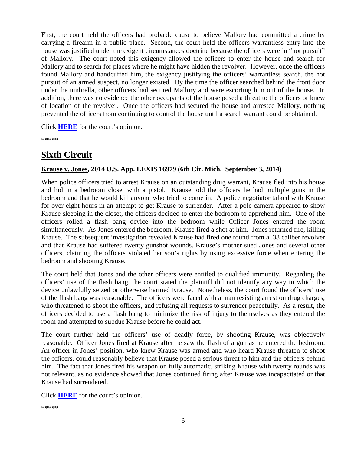First, the court held the officers had probable cause to believe Mallory had committed a crime by carrying a firearm in a public place. Second, the court held the officers warrantless entry into the house was justified under the exigent circumstances doctrine because the officers were in "hot pursuit" of Mallory. The court noted this exigency allowed the officers to enter the house and search for Mallory and to search for places where he might have hidden the revolver. However, once the officers found Mallory and handcuffed him, the exigency justifying the officers' warrantless search, the hot pursuit of an armed suspect, no longer existed. By the time the officer searched behind the front door under the umbrella, other officers had secured Mallory and were escorting him out of the house. In addition, there was no evidence the other occupants of the house posed a threat to the officers or knew of location of the revolver. Once the officers had secured the house and arrested Mallory, nothing prevented the officers from continuing to control the house until a search warrant could be obtained.

Click **[HERE](http://cases.justia.com/federal/appellate-courts/ca3/13-2025/13-2025-2014-09-03.pdf?ts=1410925682)** for the court's opinion.

\*\*\*\*\*

# <span id="page-5-0"></span>**Sixth Circuit**

#### <span id="page-5-1"></span>**Krause v. Jones, 2014 U.S. App. LEXIS 16979 (6th Cir. Mich. September 3, 2014)**

When police officers tried to arrest Krause on an outstanding drug warrant, Krause fled into his house and hid in a bedroom closet with a pistol. Krause told the officers he had multiple guns in the bedroom and that he would kill anyone who tried to come in. A police negotiator talked with Krause for over eight hours in an attempt to get Krause to surrender. After a pole camera appeared to show Krause sleeping in the closet, the officers decided to enter the bedroom to apprehend him. One of the officers rolled a flash bang device into the bedroom while Officer Jones entered the room simultaneously. As Jones entered the bedroom, Krause fired a shot at him. Jones returned fire, killing Krause. The subsequent investigation revealed Krause had fired one round from a .38 caliber revolver and that Krause had suffered twenty gunshot wounds. Krause's mother sued Jones and several other officers, claiming the officers violated her son's rights by using excessive force when entering the bedroom and shooting Krause.

The court held that Jones and the other officers were entitled to qualified immunity. Regarding the officers' use of the flash bang, the court stated the plaintiff did not identify any way in which the device unlawfully seized or otherwise harmed Krause. Nonetheless, the court found the officers' use of the flash bang was reasonable. The officers were faced with a man resisting arrest on drug charges, who threatened to shoot the officers, and refusing all requests to surrender peacefully. As a result, the officers decided to use a flash bang to minimize the risk of injury to themselves as they entered the room and attempted to subdue Krause before he could act.

The court further held the officers' use of deadly force, by shooting Krause, was objectively reasonable. Officer Jones fired at Krause after he saw the flash of a gun as he entered the bedroom. An officer in Jones' position, who knew Krause was armed and who heard Krause threaten to shoot the officers, could reasonably believe that Krause posed a serious threat to him and the officers behind him. The fact that Jones fired his weapon on fully automatic, striking Krause with twenty rounds was not relevant, as no evidence showed that Jones continued firing after Krause was incapacitated or that Krause had surrendered.

Click **[HERE](http://cases.justia.com/federal/appellate-courts/ca6/13-2498/13-2498-2014-09-03.pdf?ts=1411030852)** for the court's opinion.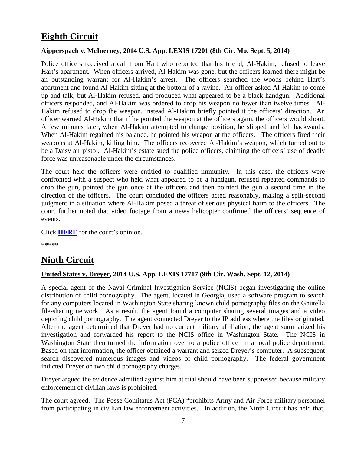# <span id="page-6-0"></span>**Eighth Circuit**

#### <span id="page-6-1"></span>**Aipperspach v. McInerney, 2014 U.S. App. LEXIS 17201 (8th Cir. Mo. Sept. 5, 2014)**

Police officers received a call from Hart who reported that his friend, Al-Hakim, refused to leave Hart's apartment. When officers arrived, Al-Hakim was gone, but the officers learned there might be an outstanding warrant for Al-Hakim's arrest. The officers searched the woods behind Hart's apartment and found Al-Hakim sitting at the bottom of a ravine. An officer asked Al-Hakim to come up and talk, but Al-Hakim refused, and produced what appeared to be a black handgun. Additional officers responded, and Al-Hakim was ordered to drop his weapon no fewer than twelve times. Al-Hakim refused to drop the weapon, instead Al-Hakim briefly pointed it the officers' direction. An officer warned Al-Hakim that if he pointed the weapon at the officers again, the officers would shoot. A few minutes later, when Al-Hakim attempted to change position, he slipped and fell backwards. When Al-Hakim regained his balance, he pointed his weapon at the officers. The officers fired their weapons at Al-Hakim, killing him. The officers recovered Al-Hakim's weapon, which turned out to be a Daisy air pistol. Al-Hakim's estate sued the police officers, claiming the officers' use of deadly force was unreasonable under the circumstances.

The court held the officers were entitled to qualified immunity. In this case, the officers were confronted with a suspect who held what appeared to be a handgun, refused repeated commands to drop the gun, pointed the gun once at the officers and then pointed the gun a second time in the direction of the officers. The court concluded the officers acted reasonably, making a split-second judgment in a situation where Al-Hakim posed a threat of serious physical harm to the officers. The court further noted that video footage from a news helicopter confirmed the officers' sequence of events.

Click **[HERE](http://cases.justia.com/federal/appellate-courts/ca8/13-2942/13-2942-2014-09-05.pdf?ts=1411155510)** for the court's opinion.

\*\*\*\*\*

### <span id="page-6-2"></span>**Ninth Circuit**

#### <span id="page-6-3"></span>**United States v. Dreyer, 2014 U.S. App. LEXIS 17717 (9th Cir. Wash. Sept. 12, 2014)**

A special agent of the Naval Criminal Investigation Service (NCIS) began investigating the online distribution of child pornography. The agent, located in Georgia, used a software program to search for any computers located in Washington State sharing known child pornography files on the Gnutella file-sharing network. As a result, the agent found a computer sharing several images and a video depicting child pornography. The agent connected Dreyer to the IP address where the files originated. After the agent determined that Dreyer had no current military affiliation, the agent summarized his investigation and forwarded his report to the NCIS office in Washington State. The NCIS in Washington State then turned the information over to a police officer in a local police department. Based on that information, the officer obtained a warrant and seized Dreyer's computer. A subsequent search discovered numerous images and videos of child pornography. The federal government indicted Dreyer on two child pornography charges.

Dreyer argued the evidence admitted against him at trial should have been suppressed because military enforcement of civilian laws is prohibited.

The court agreed. The Posse Comitatus Act (PCA) "prohibits Army and Air Force military personnel from participating in civilian law enforcement activities. In addition, the Ninth Circuit has held that,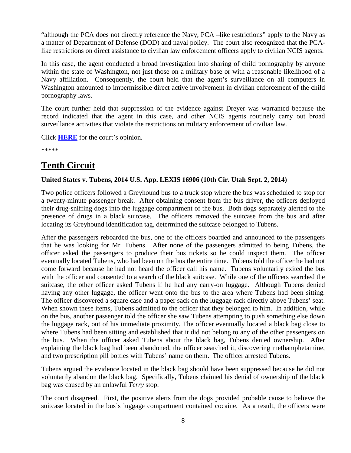"although the PCA does not directly reference the Navy, PCA –like restrictions" apply to the Navy as a matter of Department of Defense (DOD) and naval policy. The court also recognized that the PCAlike restrictions on direct assistance to civilian law enforcement officers apply to civilian NCIS agents.

In this case, the agent conducted a broad investigation into sharing of child pornography by anyone within the state of Washington, not just those on a military base or with a reasonable likelihood of a Navy affiliation. Consequently, the court held that the agent's surveillance on all computers in Washington amounted to impermissible direct active involvement in civilian enforcement of the child pornography laws.

The court further held that suppression of the evidence against Dreyer was warranted because the record indicated that the agent in this case, and other NCIS agents routinely carry out broad surveillance activities that violate the restrictions on military enforcement of civilian law.

Click **[HERE](http://cases.justia.com/federal/appellate-courts/ca9/13-30077/13-30077-2014-09-12.pdf?ts=1411079959)** for the court's opinion.

\*\*\*\*\*

# **Tenth Circuit**

#### <span id="page-7-0"></span>**United States v. Tubens, 2014 U.S. App. LEXIS 16906 (10th Cir. Utah Sept. 2, 2014)**

Two police officers followed a Greyhound bus to a truck stop where the bus was scheduled to stop for a twenty-minute passenger break. After obtaining consent from the bus driver, the officers deployed their drug-sniffing dogs into the luggage compartment of the bus. Both dogs separately alerted to the presence of drugs in a black suitcase. The officers removed the suitcase from the bus and after locating its Greyhound identification tag, determined the suitcase belonged to Tubens.

After the passengers reboarded the bus, one of the officers boarded and announced to the passengers that he was looking for Mr. Tubens. After none of the passengers admitted to being Tubens, the officer asked the passengers to produce their bus tickets so he could inspect them. The officer eventually located Tubens, who had been on the bus the entire time. Tubens told the officer he had not come forward because he had not heard the officer call his name. Tubens voluntarily exited the bus with the officer and consented to a search of the black suitcase. While one of the officers searched the suitcase, the other officer asked Tubens if he had any carry-on luggage. Although Tubens denied having any other luggage, the officer went onto the bus to the area where Tubens had been sitting. The officer discovered a square case and a paper sack on the luggage rack directly above Tubens' seat. When shown these items, Tubens admitted to the officer that they belonged to him. In addition, while on the bus, another passenger told the officer she saw Tubens attempting to push something else down the luggage rack, out of his immediate proximity. The officer eventually located a black bag close to where Tubens had been sitting and established that it did not belong to any of the other passengers on the bus. When the officer asked Tubens about the black bag, Tubens denied ownership. After explaining the black bag had been abandoned, the officer searched it, discovering methamphetamine, and two prescription pill bottles with Tubens' name on them. The officer arrested Tubens.

Tubens argued the evidence located in the black bag should have been suppressed because he did not voluntarily abandon the black bag. Specifically, Tubens claimed his denial of ownership of the black bag was caused by an unlawful *Terry* stop.

The court disagreed. First, the positive alerts from the dogs provided probable cause to believe the suitcase located in the bus's luggage compartment contained cocaine. As a result, the officers were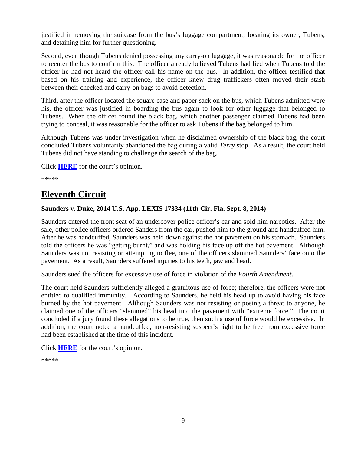justified in removing the suitcase from the bus's luggage compartment, locating its owner, Tubens, and detaining him for further questioning.

Second, even though Tubens denied possessing any carry-on luggage, it was reasonable for the officer to reenter the bus to confirm this. The officer already believed Tubens had lied when Tubens told the officer he had not heard the officer call his name on the bus. In addition, the officer testified that based on his training and experience, the officer knew drug traffickers often moved their stash between their checked and carry-on bags to avoid detection.

Third, after the officer located the square case and paper sack on the bus, which Tubens admitted were his, the officer was justified in boarding the bus again to look for other luggage that belonged to Tubens. When the officer found the black bag, which another passenger claimed Tubens had been trying to conceal, it was reasonable for the officer to ask Tubens if the bag belonged to him.

Although Tubens was under investigation when he disclaimed ownership of the black bag, the court concluded Tubens voluntarily abandoned the bag during a valid *Terry* stop. As a result, the court held Tubens did not have standing to challenge the search of the bag.

Click **[HERE](http://cases.justia.com/federal/appellate-courts/ca10/13-4118/13-4118-2014-09-02.pdf?ts=1411097418)** for the court's opinion.

\*\*\*\*\*

# **Eleventh Circuit**

#### <span id="page-8-0"></span>**Saunders v. Duke, 2014 U.S. App. LEXIS 17334 (11th Cir. Fla. Sept. 8, 2014)**

Saunders entered the front seat of an undercover police officer's car and sold him narcotics. After the sale, other police officers ordered Sanders from the car, pushed him to the ground and handcuffed him. After he was handcuffed, Saunders was held down against the hot pavement on his stomach. Saunders told the officers he was "getting burnt," and was holding his face up off the hot pavement. Although Saunders was not resisting or attempting to flee, one of the officers slammed Saunders' face onto the pavement. As a result, Saunders suffered injuries to his teeth, jaw and head.

Saunders sued the officers for excessive use of force in violation of the *Fourth Amendment*.

The court held Saunders sufficiently alleged a gratuitous use of force; therefore, the officers were not entitled to qualified immunity. According to Saunders, he held his head up to avoid having his face burned by the hot pavement. Although Saunders was not resisting or posing a threat to anyone, he claimed one of the officers "slammed" his head into the pavement with "extreme force." The court concluded if a jury found these allegations to be true, then such a use of force would be excessive. In addition, the court noted a handcuffed, non-resisting suspect's right to be free from excessive force had been established at the time of this incident.

Click **[HERE](http://cases.justia.com/federal/appellate-courts/ca11/12-11401/12-11401-2014-09-08.pdf?ts=1411129379)** for the court's opinion.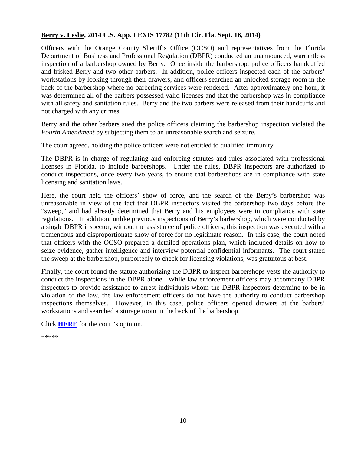#### <span id="page-9-0"></span>**Berry v. Leslie, 2014 U.S. App. LEXIS 17782 (11th Cir. Fla. Sept. 16, 2014)**

Officers with the Orange County Sheriff's Office (OCSO) and representatives from the Florida Department of Business and Professional Regulation (DBPR) conducted an unannounced, warrantless inspection of a barbershop owned by Berry. Once inside the barbershop, police officers handcuffed and frisked Berry and two other barbers. In addition, police officers inspected each of the barbers' workstations by looking through their drawers, and officers searched an unlocked storage room in the back of the barbershop where no barbering services were rendered. After approximately one-hour, it was determined all of the barbers possessed valid licenses and that the barbershop was in compliance with all safety and sanitation rules. Berry and the two barbers were released from their handcuffs and not charged with any crimes.

Berry and the other barbers sued the police officers claiming the barbershop inspection violated the *Fourth Amendment* by subjecting them to an unreasonable search and seizure.

The court agreed, holding the police officers were not entitled to qualified immunity.

The DBPR is in charge of regulating and enforcing statutes and rules associated with professional licenses in Florida, to include barbershops. Under the rules, DBPR inspectors are authorized to conduct inspections, once every two years, to ensure that barbershops are in compliance with state licensing and sanitation laws.

Here, the court held the officers' show of force, and the search of the Berry's barbershop was unreasonable in view of the fact that DBPR inspectors visited the barbershop two days before the "sweep," and had already determined that Berry and his employees were in compliance with state regulations. In addition, unlike previous inspections of Berry's barbershop, which were conducted by a single DBPR inspector, without the assistance of police officers, this inspection was executed with a tremendous and disproportionate show of force for no legitimate reason. In this case, the court noted that officers with the OCSO prepared a detailed operations plan, which included details on how to seize evidence, gather intelligence and interview potential confidential informants. The court stated the sweep at the barbershop, purportedly to check for licensing violations, was gratuitous at best.

Finally, the court found the statute authorizing the DBPR to inspect barbershops vests the authority to conduct the inspections in the DBPR alone. While law enforcement officers may accompany DBPR inspectors to provide assistance to arrest individuals whom the DBPR inspectors determine to be in violation of the law, the law enforcement officers do not have the authority to conduct barbershop inspections themselves. However, in this case, police officers opened drawers at the barbers' workstations and searched a storage room in the back of the barbershop.

Click **[HERE](http://cases.justia.com/federal/appellate-courts/ca11/13-14092/13-14092-2014-09-16.pdf?ts=1411129524)** for the court's opinion.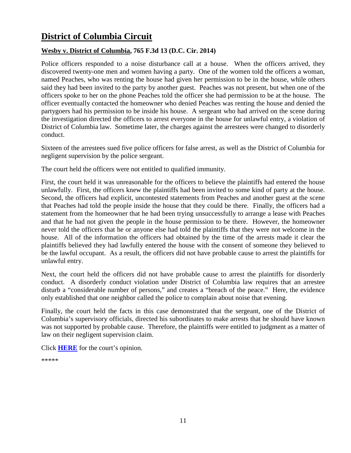# **District of Columbia Circuit**

#### <span id="page-10-0"></span>**Wesby v. District of Columbia, 765 F.3d 13 (D.C. Cir. 2014)**

Police officers responded to a noise disturbance call at a house. When the officers arrived, they discovered twenty-one men and women having a party. One of the women told the officers a woman, named Peaches, who was renting the house had given her permission to be in the house, while others said they had been invited to the party by another guest. Peaches was not present, but when one of the officers spoke to her on the phone Peaches told the officer she had permission to be at the house. The officer eventually contacted the homeowner who denied Peaches was renting the house and denied the partygoers had his permission to be inside his house. A sergeant who had arrived on the scene during the investigation directed the officers to arrest everyone in the house for unlawful entry, a violation of District of Columbia law. Sometime later, the charges against the arrestees were changed to disorderly conduct.

Sixteen of the arrestees sued five police officers for false arrest, as well as the District of Columbia for negligent supervision by the police sergeant.

The court held the officers were not entitled to qualified immunity.

First, the court held it was unreasonable for the officers to believe the plaintiffs had entered the house unlawfully. First, the officers knew the plaintiffs had been invited to some kind of party at the house. Second, the officers had explicit, uncontested statements from Peaches and another guest at the scene that Peaches had told the people inside the house that they could be there. Finally, the officers had a statement from the homeowner that he had been trying unsuccessfully to arrange a lease with Peaches and that he had not given the people in the house permission to be there. However, the homeowner never told the officers that he or anyone else had told the plaintiffs that they were not welcome in the house. All of the information the officers had obtained by the time of the arrests made it clear the plaintiffs believed they had lawfully entered the house with the consent of someone they believed to be the lawful occupant. As a result, the officers did not have probable cause to arrest the plaintiffs for unlawful entry.

Next, the court held the officers did not have probable cause to arrest the plaintiffs for disorderly conduct. A disorderly conduct violation under District of Columbia law requires that an arrestee disturb a "considerable number of persons," and creates a "breach of the peace." Here, the evidence only established that one neighbor called the police to complain about noise that evening.

Finally, the court held the facts in this case demonstrated that the sergeant, one of the District of Columbia's supervisory officials, directed his subordinates to make arrests that he should have known was not supported by probable cause. Therefore, the plaintiffs were entitled to judgment as a matter of law on their negligent supervision claim.

Click **[HERE](http://cases.justia.com/federal/appellate-courts/cadc/12-7127/12-7127-2014-09-02.pdf?ts=1411135821)** for the court's opinion.